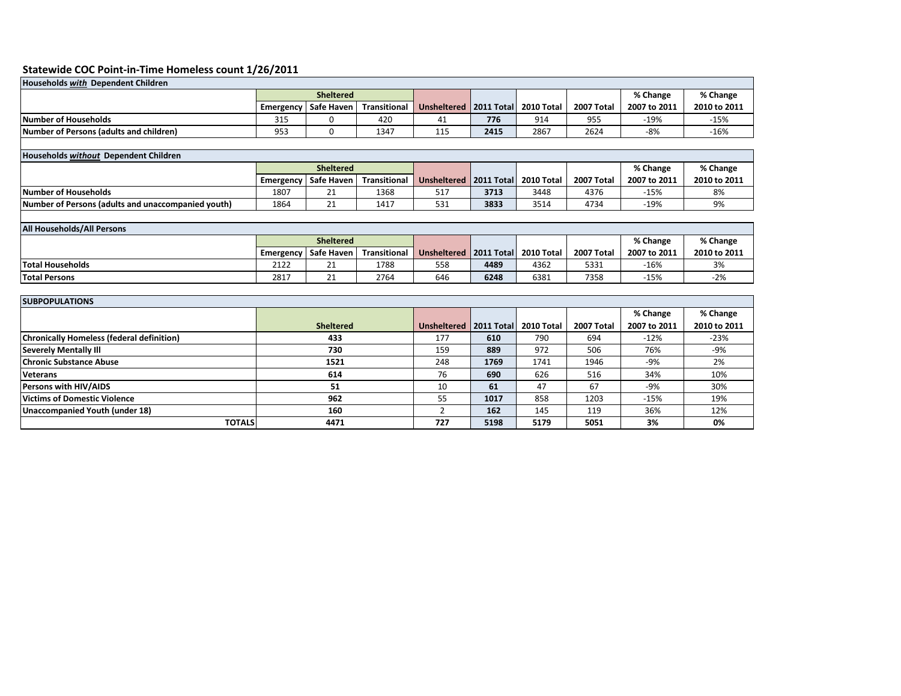## **Statewide COC Point-in-Time Homeless count 1/26/2011**

| <b>Households with Dependent Children</b>      |                  |                        |              |                                       |      |      |            |              |              |  |
|------------------------------------------------|------------------|------------------------|--------------|---------------------------------------|------|------|------------|--------------|--------------|--|
|                                                | <b>Sheltered</b> |                        |              |                                       |      |      |            | % Change     | % Change     |  |
|                                                |                  | Emergency   Safe Haven | Transitional | Unsheltered   2011 Total   2010 Total |      |      | 2007 Total | 2007 to 2011 | 2010 to 2011 |  |
| <b>Number of Households</b>                    | 315              |                        | 420          | 41                                    | 776  | 914  | 955        | $-19%$       | $-15%$       |  |
| <b>Number of Persons (adults and children)</b> | 953              |                        | 1347         | 115                                   | 2415 | 2867 | 2624       | $-8%$        | -16%         |  |
|                                                |                  |                        |              |                                       |      |      |            |              |              |  |

| Households without Dependent Children              |                  |                                     |              |                                       |      |      |            |              |              |  |
|----------------------------------------------------|------------------|-------------------------------------|--------------|---------------------------------------|------|------|------------|--------------|--------------|--|
|                                                    | <b>Sheltered</b> |                                     |              |                                       |      |      |            | % Change     | % Change     |  |
|                                                    |                  | <sup>I</sup> Emergency   Safe Haven | Transitional | Unsheltered   2011 Total   2010 Total |      |      | 2007 Total | 2007 to 2011 | 2010 to 2011 |  |
| <b>Number of Households</b>                        | 1807             |                                     | 1368         | 517                                   | 3713 | 3448 | 4376       | $-15%$       | 8%           |  |
| Number of Persons (adults and unaccompanied youth) | 1864             |                                     | 1417         | 531                                   | 3833 | 3514 | 4734       | -19%         | 9%           |  |

| <b>All Households/All Persons</b> |                  |                        |              |                                       |      |      |            |              |              |
|-----------------------------------|------------------|------------------------|--------------|---------------------------------------|------|------|------------|--------------|--------------|
|                                   | <b>Sheltered</b> |                        |              |                                       |      |      |            | % Change     | % Change     |
|                                   |                  | Emergency   Safe Haven | Transitional | Unsheltered   2011 Total   2010 Total |      |      | 2007 Total | 2007 to 2011 | 2010 to 2011 |
| <b>Total Households</b>           | 2122             |                        | 1788         | 558                                   | 4489 | 4362 | 5331       | $-16%$       | 3%           |
| <b>Total Persons</b>              | 281              |                        | 2764         | 646                                   | 6248 | 6381 | 7358       | $-15%$       | $-2%$        |

| <b>SUBPOPULATIONS</b>                            |                  |                          |      |            |            |              |              |  |  |  |
|--------------------------------------------------|------------------|--------------------------|------|------------|------------|--------------|--------------|--|--|--|
|                                                  |                  |                          |      |            |            | % Change     | % Change     |  |  |  |
|                                                  | <b>Sheltered</b> | Unsheltered   2011 Total |      | 2010 Total | 2007 Total | 2007 to 2011 | 2010 to 2011 |  |  |  |
| <b>Chronically Homeless (federal definition)</b> | 433              | 177                      | 610  | 790        | 694        | $-12%$       | $-23%$       |  |  |  |
| <b>Severely Mentally III</b>                     | 730              | 159                      | 889  | 972        | 506        | 76%          | -9%          |  |  |  |
| <b>Chronic Substance Abuse</b>                   | 1521             | 248                      | 1769 | 1741       | 1946       | -9%          | 2%           |  |  |  |
| <b>Veterans</b>                                  | 614              | 76                       | 690  | 626        | 516        | 34%          | 10%          |  |  |  |
| <b>Persons with HIV/AIDS</b>                     | 51               | 10                       | 61   | 47         | 67         | -9%          | 30%          |  |  |  |
| <b>Victims of Domestic Violence</b>              | 962              | 55                       | 1017 | 858        | 1203       | $-15%$       | 19%          |  |  |  |
| Unaccompanied Youth (under 18)                   | 160              |                          | 162  | 145        | 119        | 36%          | 12%          |  |  |  |
| <b>TOTALS</b>                                    | 4471             | 727                      | 5198 | 5179       | 5051       | 3%           | 0%           |  |  |  |